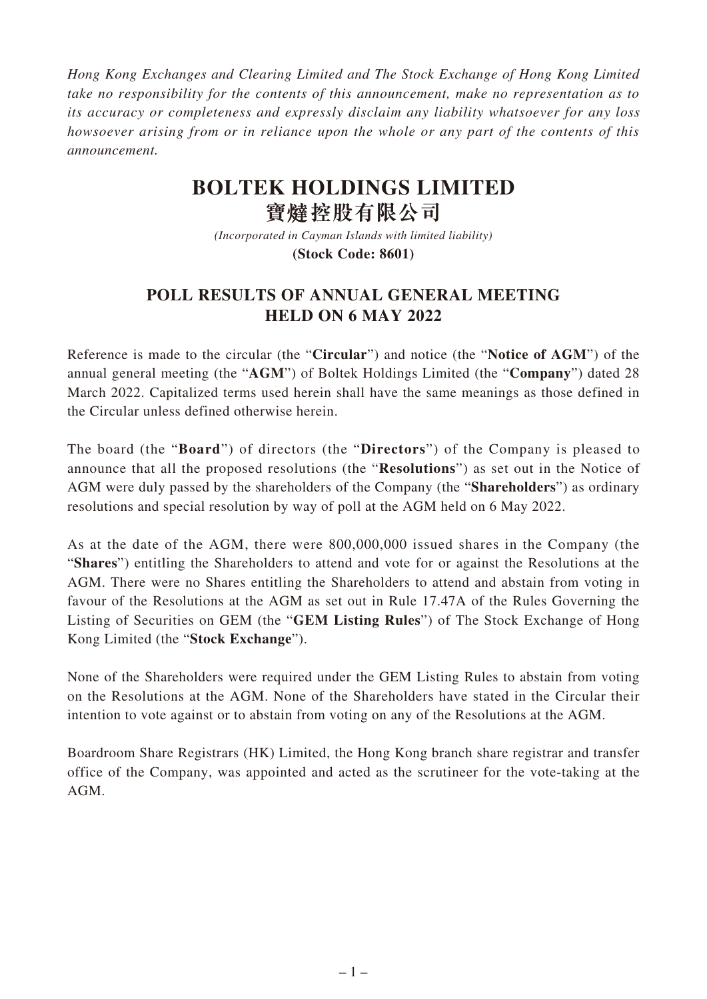*Hong Kong Exchanges and Clearing Limited and The Stock Exchange of Hong Kong Limited take no responsibility for the contents of this announcement, make no representation as to its accuracy or completeness and expressly disclaim any liability whatsoever for any loss howsoever arising from or in reliance upon the whole or any part of the contents of this announcement.*

## **BOLTEK HOLDINGS LIMITED 寶 控股有限公司**

*(Incorporated in Cayman Islands with limited liability)* **(Stock Code: 8601)**

## **POLL RESULTS OF ANNUAL GENERAL MEETING HELD ON 6 MAY 2022**

Reference is made to the circular (the "**Circular**") and notice (the "**Notice of AGM**") of the annual general meeting (the "**AGM**") of Boltek Holdings Limited (the "**Company**") dated 28 March 2022. Capitalized terms used herein shall have the same meanings as those defined in the Circular unless defined otherwise herein.

The board (the "**Board**") of directors (the "**Directors**") of the Company is pleased to announce that all the proposed resolutions (the "**Resolutions**") as set out in the Notice of AGM were duly passed by the shareholders of the Company (the "**Shareholders**") as ordinary resolutions and special resolution by way of poll at the AGM held on 6 May 2022.

As at the date of the AGM, there were 800,000,000 issued shares in the Company (the "**Shares**") entitling the Shareholders to attend and vote for or against the Resolutions at the AGM. There were no Shares entitling the Shareholders to attend and abstain from voting in favour of the Resolutions at the AGM as set out in Rule 17.47A of the Rules Governing the Listing of Securities on GEM (the "**GEM Listing Rules**") of The Stock Exchange of Hong Kong Limited (the "**Stock Exchange**").

None of the Shareholders were required under the GEM Listing Rules to abstain from voting on the Resolutions at the AGM. None of the Shareholders have stated in the Circular their intention to vote against or to abstain from voting on any of the Resolutions at the AGM.

Boardroom Share Registrars (HK) Limited, the Hong Kong branch share registrar and transfer office of the Company, was appointed and acted as the scrutineer for the vote-taking at the AGM.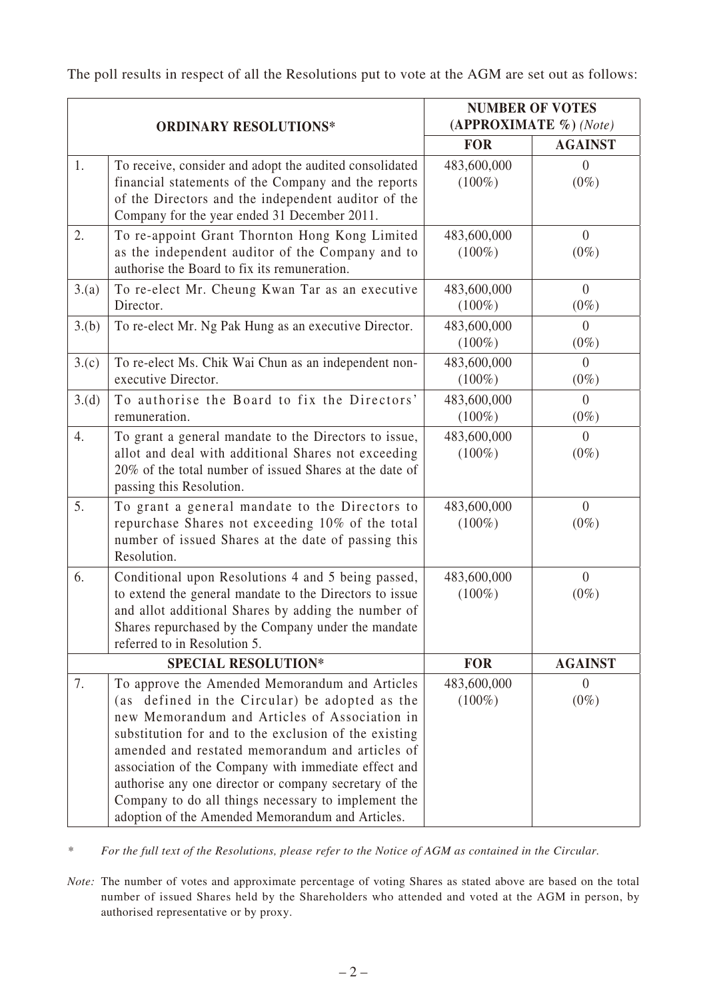The poll results in respect of all the Resolutions put to vote at the AGM are set out as follows:

| <b>ORDINARY RESOLUTIONS*</b> |                                                                                                                                                                                                                                                                                                                                                                                                                                                                                            | <b>NUMBER OF VOTES</b><br>(APPROXIMATE %) (Note) |                           |
|------------------------------|--------------------------------------------------------------------------------------------------------------------------------------------------------------------------------------------------------------------------------------------------------------------------------------------------------------------------------------------------------------------------------------------------------------------------------------------------------------------------------------------|--------------------------------------------------|---------------------------|
|                              |                                                                                                                                                                                                                                                                                                                                                                                                                                                                                            | <b>FOR</b>                                       | <b>AGAINST</b>            |
| 1.                           | To receive, consider and adopt the audited consolidated<br>financial statements of the Company and the reports<br>of the Directors and the independent auditor of the<br>Company for the year ended 31 December 2011.                                                                                                                                                                                                                                                                      | 483,600,000<br>$(100\%)$                         | $\theta$<br>$(0\%)$       |
| 2.                           | To re-appoint Grant Thornton Hong Kong Limited<br>as the independent auditor of the Company and to<br>authorise the Board to fix its remuneration.                                                                                                                                                                                                                                                                                                                                         | 483,600,000<br>$(100\%)$                         | $\overline{0}$<br>$(0\%)$ |
| 3.(a)                        | To re-elect Mr. Cheung Kwan Tar as an executive<br>Director.                                                                                                                                                                                                                                                                                                                                                                                                                               | 483,600,000<br>$(100\%)$                         | $\theta$<br>$(0\%)$       |
| 3.(b)                        | To re-elect Mr. Ng Pak Hung as an executive Director.                                                                                                                                                                                                                                                                                                                                                                                                                                      | 483,600,000<br>$(100\%)$                         | $\overline{0}$<br>$(0\%)$ |
| 3.(c)                        | To re-elect Ms. Chik Wai Chun as an independent non-<br>executive Director.                                                                                                                                                                                                                                                                                                                                                                                                                | 483,600,000<br>$(100\%)$                         | $\overline{0}$<br>$(0\%)$ |
| 3.(d)                        | To authorise the Board to fix the Directors'<br>remuneration.                                                                                                                                                                                                                                                                                                                                                                                                                              | 483,600,000<br>$(100\%)$                         | $\overline{0}$<br>$(0\%)$ |
| 4.                           | To grant a general mandate to the Directors to issue,<br>allot and deal with additional Shares not exceeding<br>20% of the total number of issued Shares at the date of<br>passing this Resolution.                                                                                                                                                                                                                                                                                        | 483,600,000<br>$(100\%)$                         | $\theta$<br>$(0\%)$       |
| 5.                           | To grant a general mandate to the Directors to<br>repurchase Shares not exceeding 10% of the total<br>number of issued Shares at the date of passing this<br>Resolution.                                                                                                                                                                                                                                                                                                                   | 483,600,000<br>$(100\%)$                         | $\theta$<br>$(0\%)$       |
| 6.                           | Conditional upon Resolutions 4 and 5 being passed,<br>to extend the general mandate to the Directors to issue<br>and allot additional Shares by adding the number of<br>Shares repurchased by the Company under the mandate<br>referred to in Resolution 5.                                                                                                                                                                                                                                | 483,600,000<br>$(100\%)$                         | $\theta$<br>$(0\%)$       |
| <b>SPECIAL RESOLUTION*</b>   |                                                                                                                                                                                                                                                                                                                                                                                                                                                                                            | <b>FOR</b>                                       | <b>AGAINST</b>            |
| 7.                           | To approve the Amended Memorandum and Articles<br>(as defined in the Circular) be adopted as the<br>new Memorandum and Articles of Association in<br>substitution for and to the exclusion of the existing<br>amended and restated memorandum and articles of<br>association of the Company with immediate effect and<br>authorise any one director or company secretary of the<br>Company to do all things necessary to implement the<br>adoption of the Amended Memorandum and Articles. | 483,600,000<br>$(100\%)$                         | $\Omega$<br>$(0\%)$       |

*\* For the full text of the Resolutions, please refer to the Notice of AGM as contained in the Circular.*

*Note:* The number of votes and approximate percentage of voting Shares as stated above are based on the total number of issued Shares held by the Shareholders who attended and voted at the AGM in person, by authorised representative or by proxy.